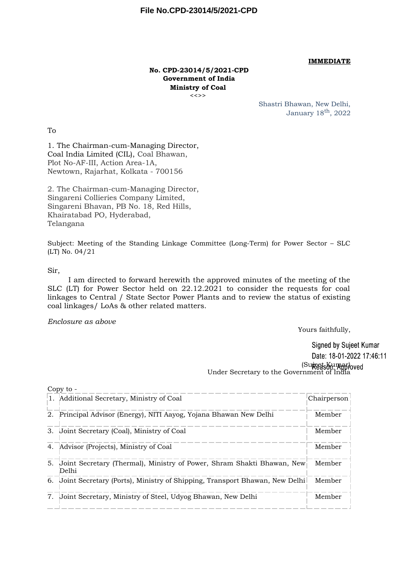#### **IMMEDIATE**

#### **No. CPD-23014/5/2021-CPD Government of India Ministry of Coal** <<>>

Shastri Bhawan, New Delhi, January 18th, 2022

To

1. The Chairman-cum-Managing Director, Coal India Limited (CIL), Coal Bhawan, Plot No-AF-III, Action Area-1A, Newtown, Rajarhat, Kolkata - 700156

2. The Chairman-cum-Managing Director, Singareni Collieries Company Limited, Singareni Bhavan, PB No. 18, Red Hills, Khairatabad PO, Hyderabad, Telangana

Subject: Meeting of the Standing Linkage Committee (Long-Term) for Power Sector – SLC (LT) No. 04/21

#### Sir,

I am directed to forward herewith the approved minutes of the meeting of the SLC (LT) for Power Sector held on 22.12.2021 to consider the requests for coal linkages to Central / State Sector Power Plants and to review the status of existing coal linkages/ LoAs & other related matters.

#### *Enclosure as above*

Yours faithfully,

Signed by Sujeet Kumar Date: 18-01-2022 17:46:11 (Sujeet Kumar) Under Secretary to the Government of India

| Copy to - |                                                                                 |             |  |
|-----------|---------------------------------------------------------------------------------|-------------|--|
|           | 1. Additional Secretary, Ministry of Coal                                       | Chairperson |  |
| 2.        | Principal Advisor (Energy), NITI Aayog, Yojana Bhawan New Delhi                 | Member      |  |
|           | 3. Joint Secretary (Coal), Ministry of Coal                                     | Member      |  |
|           | 4. Advisor (Projects), Ministry of Coal                                         | Member      |  |
| 5.        | Joint Secretary (Thermal), Ministry of Power, Shram Shakti Bhawan, New<br>Delhi | Member      |  |
|           | 6. Uoint Secretary (Ports), Ministry of Shipping, Transport Bhawan, New Delhi   | Member      |  |
| 7.        | Joint Secretary, Ministry of Steel, Udyog Bhawan, New Delhi                     | Member      |  |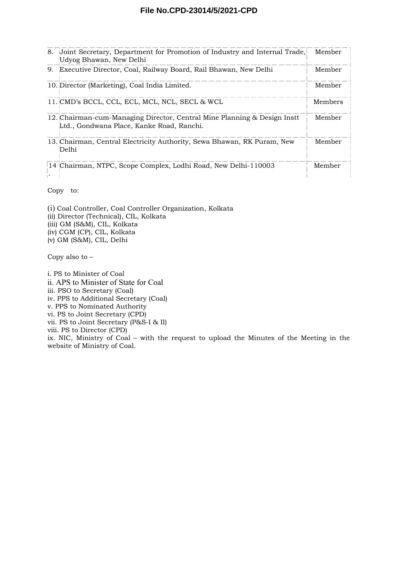#### **File No.CPD-23014/5/2021-CPD**

| 8. | Uoint Secretary, Department for Promotion of Industry and Internal Trade,<br>Udyog Bhawan, New Delhi                  | Member  |
|----|-----------------------------------------------------------------------------------------------------------------------|---------|
| 9. | Executive Director, Coal, Railway Board, Rail Bhawan, New Delhi                                                       | Member  |
|    | 10. Director (Marketing), Coal India Limited.                                                                         | Member  |
|    | 11. CMD's BCCL, CCL, ECL, MCL, NCL, SECL & WCL                                                                        | Members |
|    | 12. Chairman-cum-Managing Director, Central Mine Planning & Design Instt<br>Ltd., Gondwana Place, Kanke Road, Ranchi. | Member  |
|    | 13. Chairman, Central Electricity Authority, Sewa Bhawan, RK Puram, New<br>De1hi                                      | Member  |
|    | 14 Chairman, NTPC, Scope Complex, Lodhi Road, New Delhi-110003                                                        | Member  |

Copy to:

(i) Coal Controller, Coal Controller Organization, Kolkata (ii) Director (Technical), CIL, Kolkata (iii) GM (S&M), CIL, Kolkata (iv) CGM (CP), CIL, Kolkata (v) GM (S&M), CIL, Delhi

Copy also to –

i. PS to Minister of Coal ii. APS to Minister of State for Coal iii. PSO to Secretary (Coal) iv. PPS to Additional Secretary (Coal) v. PPS to Nominated Authority vi. PS to Joint Secretary (CPD) vii. PS to Joint Secretary (P&S-I & II) viii. PS to Director (CPD) ix. NIC, Ministry of Coal – with the request to upload the Minutes of the Meeting in the website of Ministry of Coal.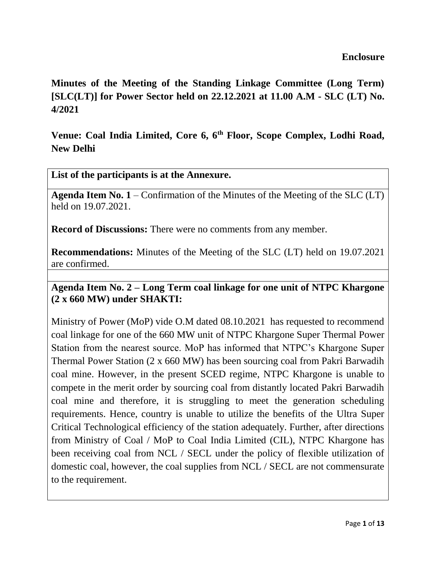**Minutes of the Meeting of the Standing Linkage Committee (Long Term) [SLC(LT)] for Power Sector held on 22.12.2021 at 11.00 A.M - SLC (LT) No. 4/2021**

**Venue: Coal India Limited, Core 6, 6th Floor, Scope Complex, Lodhi Road, New Delhi** 

**List of the participants is at the Annexure.**

**Agenda Item No. 1** – Confirmation of the Minutes of the Meeting of the SLC (LT) held on 19.07.2021.

**Record of Discussions:** There were no comments from any member.

**Recommendations:** Minutes of the Meeting of the SLC (LT) held on 19.07.2021 are confirmed.

**Agenda Item No. 2 – Long Term coal linkage for one unit of NTPC Khargone (2 x 660 MW) under SHAKTI:**

Ministry of Power (MoP) vide O.M dated 08.10.2021 has requested to recommend coal linkage for one of the 660 MW unit of NTPC Khargone Super Thermal Power Station from the nearest source. MoP has informed that NTPC's Khargone Super Thermal Power Station (2 x 660 MW) has been sourcing coal from Pakri Barwadih coal mine. However, in the present SCED regime, NTPC Khargone is unable to compete in the merit order by sourcing coal from distantly located Pakri Barwadih coal mine and therefore, it is struggling to meet the generation scheduling requirements. Hence, country is unable to utilize the benefits of the Ultra Super Critical Technological efficiency of the station adequately. Further, after directions from Ministry of Coal / MoP to Coal India Limited (CIL), NTPC Khargone has been receiving coal from NCL / SECL under the policy of flexible utilization of domestic coal, however, the coal supplies from NCL / SECL are not commensurate to the requirement.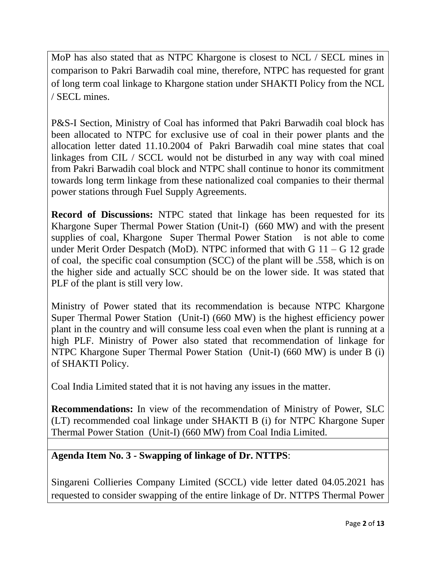MoP has also stated that as NTPC Khargone is closest to NCL / SECL mines in comparison to Pakri Barwadih coal mine, therefore, NTPC has requested for grant of long term coal linkage to Khargone station under SHAKTI Policy from the NCL / SECL mines.

P&S-I Section, Ministry of Coal has informed that Pakri Barwadih coal block has been allocated to NTPC for exclusive use of coal in their power plants and the allocation letter dated 11.10.2004 of Pakri Barwadih coal mine states that coal linkages from CIL / SCCL would not be disturbed in any way with coal mined from Pakri Barwadih coal block and NTPC shall continue to honor its commitment towards long term linkage from these nationalized coal companies to their thermal power stations through Fuel Supply Agreements.

**Record of Discussions:** NTPC stated that linkage has been requested for its Khargone Super Thermal Power Station (Unit-I) (660 MW) and with the present supplies of coal, Khargone Super Thermal Power Station is not able to come under Merit Order Despatch (MoD). NTPC informed that with  $G$  11 –  $G$  12 grade of coal, the specific coal consumption (SCC) of the plant will be .558, which is on the higher side and actually SCC should be on the lower side. It was stated that PLF of the plant is still very low.

Ministry of Power stated that its recommendation is because NTPC Khargone Super Thermal Power Station (Unit-I) (660 MW) is the highest efficiency power plant in the country and will consume less coal even when the plant is running at a high PLF. Ministry of Power also stated that recommendation of linkage for NTPC Khargone Super Thermal Power Station (Unit-I) (660 MW) is under B (i) of SHAKTI Policy.

Coal India Limited stated that it is not having any issues in the matter.

**Recommendations:** In view of the recommendation of Ministry of Power, SLC (LT) recommended coal linkage under SHAKTI B (i) for NTPC Khargone Super Thermal Power Station (Unit-I) (660 MW) from Coal India Limited.

# **Agenda Item No. 3 - Swapping of linkage of Dr. NTTPS**:

Singareni Collieries Company Limited (SCCL) vide letter dated 04.05.2021 has requested to consider swapping of the entire linkage of Dr. NTTPS Thermal Power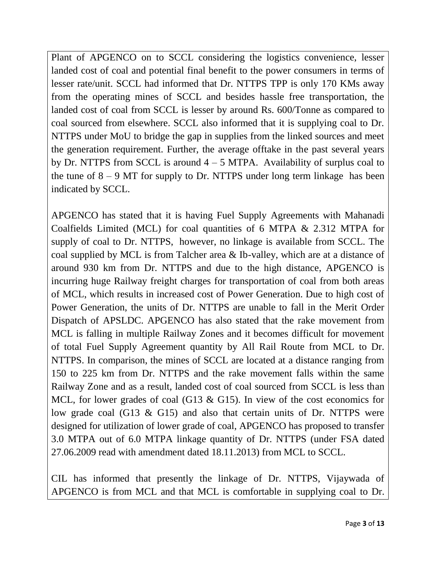Plant of APGENCO on to SCCL considering the logistics convenience, lesser landed cost of coal and potential final benefit to the power consumers in terms of lesser rate/unit. SCCL had informed that Dr. NTTPS TPP is only 170 KMs away from the operating mines of SCCL and besides hassle free transportation, the landed cost of coal from SCCL is lesser by around Rs. 600/Tonne as compared to coal sourced from elsewhere. SCCL also informed that it is supplying coal to Dr. NTTPS under MoU to bridge the gap in supplies from the linked sources and meet the generation requirement. Further, the average offtake in the past several years by Dr. NTTPS from SCCL is around  $4 - 5$  MTPA. Availability of surplus coal to the tune of  $8 - 9$  MT for supply to Dr. NTTPS under long term linkage has been indicated by SCCL.

APGENCO has stated that it is having Fuel Supply Agreements with Mahanadi Coalfields Limited (MCL) for coal quantities of 6 MTPA & 2.312 MTPA for supply of coal to Dr. NTTPS, however, no linkage is available from SCCL. The coal supplied by MCL is from Talcher area & Ib-valley, which are at a distance of around 930 km from Dr. NTTPS and due to the high distance, APGENCO is incurring huge Railway freight charges for transportation of coal from both areas of MCL, which results in increased cost of Power Generation. Due to high cost of Power Generation, the units of Dr. NTTPS are unable to fall in the Merit Order Dispatch of APSLDC. APGENCO has also stated that the rake movement from MCL is falling in multiple Railway Zones and it becomes difficult for movement of total Fuel Supply Agreement quantity by All Rail Route from MCL to Dr. NTTPS. In comparison, the mines of SCCL are located at a distance ranging from 150 to 225 km from Dr. NTTPS and the rake movement falls within the same Railway Zone and as a result, landed cost of coal sourced from SCCL is less than MCL, for lower grades of coal (G13 & G15). In view of the cost economics for low grade coal (G13 & G15) and also that certain units of Dr. NTTPS were designed for utilization of lower grade of coal, APGENCO has proposed to transfer 3.0 MTPA out of 6.0 MTPA linkage quantity of Dr. NTTPS (under FSA dated 27.06.2009 read with amendment dated 18.11.2013) from MCL to SCCL.

CIL has informed that presently the linkage of Dr. NTTPS, Vijaywada of APGENCO is from MCL and that MCL is comfortable in supplying coal to Dr.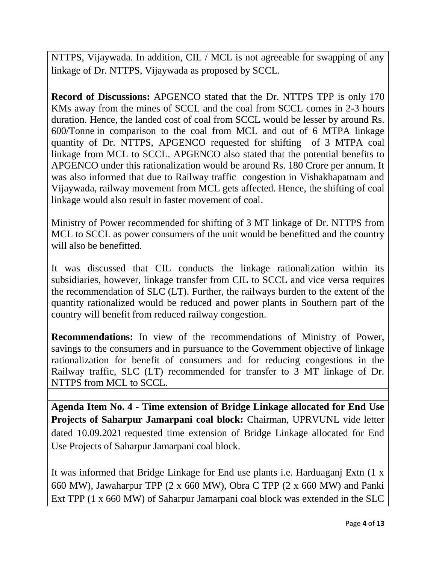NTTPS, Vijaywada. In addition, CIL / MCL is not agreeable for swapping of any linkage of Dr. NTTPS, Vijaywada as proposed by SCCL.

**Record of Discussions:** APGENCO stated that the Dr. NTTPS TPP is only 170 KMs away from the mines of SCCL and the coal from SCCL comes in 2-3 hours duration. Hence, the landed cost of coal from SCCL would be lesser by around Rs. 600/Tonne in comparison to the coal from MCL and out of 6 MTPA linkage quantity of Dr. NTTPS, APGENCO requested for shifting of 3 MTPA coal linkage from MCL to SCCL. APGENCO also stated that the potential benefits to APGENCO under this rationalization would be around Rs. 180 Crore per annum. It was also informed that due to Railway traffic congestion in Vishakhapatnam and Vijaywada, railway movement from MCL gets affected. Hence, the shifting of coal linkage would also result in faster movement of coal.

Ministry of Power recommended for shifting of 3 MT linkage of Dr. NTTPS from MCL to SCCL as power consumers of the unit would be benefitted and the country will also be benefitted.

It was discussed that CIL conducts the linkage rationalization within its subsidiaries, however, linkage transfer from CIL to SCCL and vice versa requires the recommendation of SLC (LT). Further, the railways burden to the extent of the quantity rationalized would be reduced and power plants in Southern part of the country will benefit from reduced railway congestion.

**Recommendations:** In view of the recommendations of Ministry of Power, savings to the consumers and in pursuance to the Government objective of linkage rationalization for benefit of consumers and for reducing congestions in the Railway traffic, SLC (LT) recommended for transfer to 3 MT linkage of Dr. NTTPS from MCL to SCCL.

**Agenda Item No. 4 - Time extension of Bridge Linkage allocated for End Use Projects of Saharpur Jamarpani coal block:** Chairman, UPRVUNL vide letter dated 10.09.2021 requested time extension of Bridge Linkage allocated for End Use Projects of Saharpur Jamarpani coal block.

It was informed that Bridge Linkage for End use plants i.e. Harduaganj Extn (1 x 660 MW), Jawaharpur TPP (2 x 660 MW), Obra C TPP (2 x 660 MW) and Panki Ext TPP (1 x 660 MW) of Saharpur Jamarpani coal block was extended in the SLC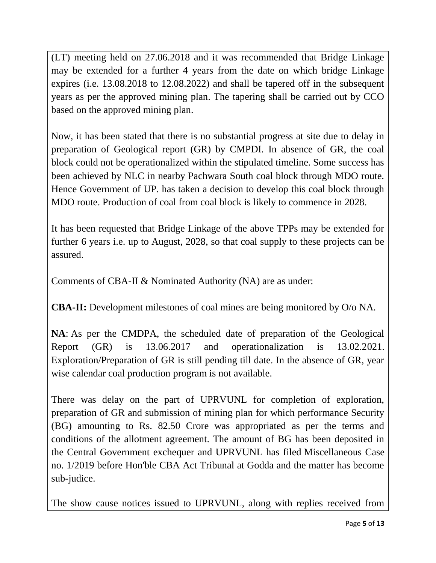(LT) meeting held on 27.06.2018 and it was recommended that Bridge Linkage may be extended for a further 4 years from the date on which bridge Linkage expires (i.e. 13.08.2018 to 12.08.2022) and shall be tapered off in the subsequent years as per the approved mining plan. The tapering shall be carried out by CCO based on the approved mining plan.

Now, it has been stated that there is no substantial progress at site due to delay in preparation of Geological report (GR) by CMPDI. In absence of GR, the coal block could not be operationalized within the stipulated timeline. Some success has been achieved by NLC in nearby Pachwara South coal block through MDO route. Hence Government of UP. has taken a decision to develop this coal block through MDO route. Production of coal from coal block is likely to commence in 2028.

It has been requested that Bridge Linkage of the above TPPs may be extended for further 6 years i.e. up to August, 2028, so that coal supply to these projects can be assured.

Comments of CBA-II & Nominated Authority (NA) are as under:

**CBA-II:** Development milestones of coal mines are being monitored by O/o NA.

**NA**: As per the CMDPA, the scheduled date of preparation of the Geological Report (GR) is 13.06.2017 and operationalization is 13.02.2021. Exploration/Preparation of GR is still pending till date. In the absence of GR, year wise calendar coal production program is not available.

There was delay on the part of UPRVUNL for completion of exploration, preparation of GR and submission of mining plan for which performance Security (BG) amounting to Rs. 82.50 Crore was appropriated as per the terms and conditions of the allotment agreement. The amount of BG has been deposited in the Central Government exchequer and UPRVUNL has filed Miscellaneous Case no. 1/2019 before Hon'ble CBA Act Tribunal at Godda and the matter has become sub-judice.

The show cause notices issued to UPRVUNL, along with replies received from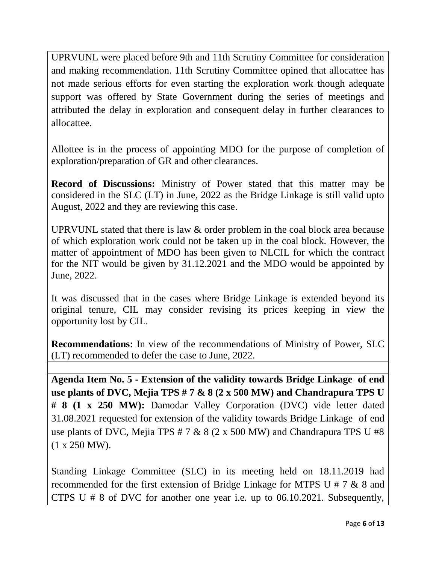UPRVUNL were placed before 9th and 11th Scrutiny Committee for consideration and making recommendation. 11th Scrutiny Committee opined that allocattee has not made serious efforts for even starting the exploration work though adequate support was offered by State Government during the series of meetings and attributed the delay in exploration and consequent delay in further clearances to allocattee.

Allottee is in the process of appointing MDO for the purpose of completion of exploration/preparation of GR and other clearances.

**Record of Discussions:** Ministry of Power stated that this matter may be considered in the SLC (LT) in June, 2022 as the Bridge Linkage is still valid upto August, 2022 and they are reviewing this case.

UPRVUNL stated that there is law & order problem in the coal block area because of which exploration work could not be taken up in the coal block. However, the matter of appointment of MDO has been given to NLCIL for which the contract for the NIT would be given by 31.12.2021 and the MDO would be appointed by June, 2022.

It was discussed that in the cases where Bridge Linkage is extended beyond its original tenure, CIL may consider revising its prices keeping in view the opportunity lost by CIL.

**Recommendations:** In view of the recommendations of Ministry of Power, SLC (LT) recommended to defer the case to June, 2022.

**Agenda Item No. 5 - Extension of the validity towards Bridge Linkage of end use plants of DVC, Mejia TPS # 7 & 8 (2 x 500 MW) and Chandrapura TPS U # 8 (1 x 250 MW):** Damodar Valley Corporation (DVC) vide letter dated 31.08.2021 requested for extension of the validity towards Bridge Linkage of end use plants of DVC, Mejia TPS  $# 7 \& 8 (2 \times 500 \text{ MW})$  and Chandrapura TPS U  $#8$ (1 x 250 MW).

Standing Linkage Committee (SLC) in its meeting held on 18.11.2019 had recommended for the first extension of Bridge Linkage for MTPS U # 7 & 8 and CTPS U # 8 of DVC for another one year i.e. up to 06.10.2021. Subsequently,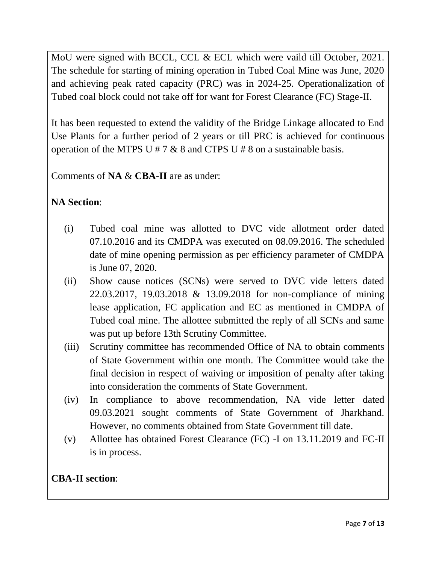MoU were signed with BCCL, CCL & ECL which were vaild till October, 2021. The schedule for starting of mining operation in Tubed Coal Mine was June, 2020 and achieving peak rated capacity (PRC) was in 2024-25. Operationalization of Tubed coal block could not take off for want for Forest Clearance (FC) Stage-II.

It has been requested to extend the validity of the Bridge Linkage allocated to End Use Plants for a further period of 2 years or till PRC is achieved for continuous operation of the MTPS U # 7  $\&$  8 and CTPS U # 8 on a sustainable basis.

Comments of **NA** & **CBA-II** are as under:

# **NA Section**:

- (i) Tubed coal mine was allotted to DVC vide allotment order dated 07.10.2016 and its CMDPA was executed on 08.09.2016. The scheduled date of mine opening permission as per efficiency parameter of CMDPA is June 07, 2020.
- (ii) Show cause notices (SCNs) were served to DVC vide letters dated 22.03.2017, 19.03.2018 & 13.09.2018 for non-compliance of mining lease application, FC application and EC as mentioned in CMDPA of Tubed coal mine. The allottee submitted the reply of all SCNs and same was put up before 13th Scrutiny Committee.
- (iii) Scrutiny committee has recommended Office of NA to obtain comments of State Government within one month. The Committee would take the final decision in respect of waiving or imposition of penalty after taking into consideration the comments of State Government.
- (iv) In compliance to above recommendation, NA vide letter dated 09.03.2021 sought comments of State Government of Jharkhand. However, no comments obtained from State Government till date.
- (v) Allottee has obtained Forest Clearance (FC) -I on 13.11.2019 and FC-II is in process.

# **CBA-II section**: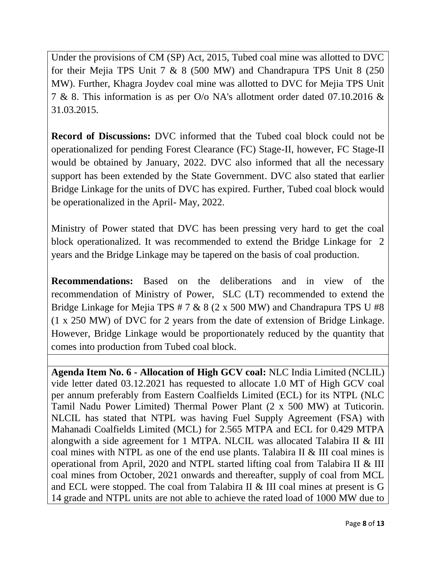Under the provisions of CM (SP) Act, 2015, Tubed coal mine was allotted to DVC for their Mejia TPS Unit 7 & 8 (500 MW) and Chandrapura TPS Unit 8 (250 MW). Further, Khagra Joydev coal mine was allotted to DVC for Mejia TPS Unit 7 & 8. This information is as per O/o NA's allotment order dated 07.10.2016 & 31.03.2015.

**Record of Discussions:** DVC informed that the Tubed coal block could not be operationalized for pending Forest Clearance (FC) Stage-II, however, FC Stage-II would be obtained by January, 2022. DVC also informed that all the necessary support has been extended by the State Government. DVC also stated that earlier Bridge Linkage for the units of DVC has expired. Further, Tubed coal block would be operationalized in the April- May, 2022.

Ministry of Power stated that DVC has been pressing very hard to get the coal block operationalized. It was recommended to extend the Bridge Linkage for 2 years and the Bridge Linkage may be tapered on the basis of coal production.

**Recommendations:** Based on the deliberations and in view of the recommendation of Ministry of Power, SLC (LT) recommended to extend the Bridge Linkage for Mejia TPS  $# 7 \& 8 (2 \times 500 \text{ MW})$  and Chandrapura TPS U  $#8$ (1 x 250 MW) of DVC for 2 years from the date of extension of Bridge Linkage. However, Bridge Linkage would be proportionately reduced by the quantity that comes into production from Tubed coal block.

**Agenda Item No. 6 - Allocation of High GCV coal:** NLC India Limited (NCLIL) vide letter dated 03.12.2021 has requested to allocate 1.0 MT of High GCV coal per annum preferably from Eastern Coalfields Limited (ECL) for its NTPL (NLC Tamil Nadu Power Limited) Thermal Power Plant (2 x 500 MW) at Tuticorin. NLCIL has stated that NTPL was having Fuel Supply Agreement (FSA) with Mahanadi Coalfields Limited (MCL) for 2.565 MTPA and ECL for 0.429 MTPA alongwith a side agreement for 1 MTPA. NLCIL was allocated Talabira II & III coal mines with NTPL as one of the end use plants. Talabira II & III coal mines is operational from April, 2020 and NTPL started lifting coal from Talabira II & III coal mines from October, 2021 onwards and thereafter, supply of coal from MCL and ECL were stopped. The coal from Talabira II & III coal mines at present is G 14 grade and NTPL units are not able to achieve the rated load of 1000 MW due to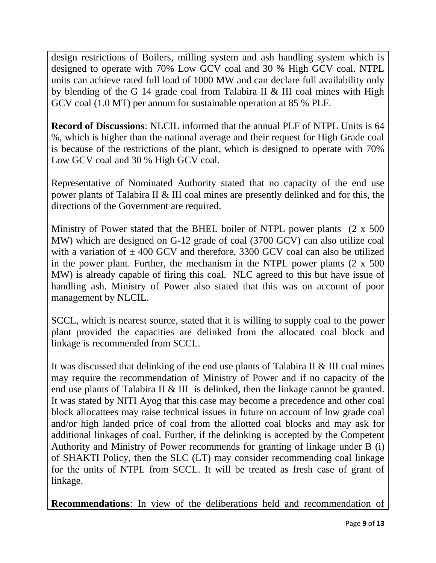design restrictions of Boilers, milling system and ash handling system which is designed to operate with 70% Low GCV coal and 30 % High GCV coal. NTPL units can achieve rated full load of 1000 MW and can declare full availability only by blending of the G 14 grade coal from Talabira II & III coal mines with High GCV coal (1.0 MT) per annum for sustainable operation at 85 % PLF.

**Record of Discussions**: NLCIL informed that the annual PLF of NTPL Units is 64 %, which is higher than the national average and their request for High Grade coal is because of the restrictions of the plant, which is designed to operate with 70% Low GCV coal and 30 % High GCV coal.

Representative of Nominated Authority stated that no capacity of the end use power plants of Talabira II & III coal mines are presently delinked and for this, the directions of the Government are required.

Ministry of Power stated that the BHEL boiler of NTPL power plants (2 x 500 MW) which are designed on G-12 grade of coal (3700 GCV) can also utilize coal with a variation of  $\pm$  400 GCV and therefore, 3300 GCV coal can also be utilized in the power plant. Further, the mechanism in the NTPL power plants (2 x 500 MW) is already capable of firing this coal. NLC agreed to this but have issue of handling ash. Ministry of Power also stated that this was on account of poor management by NLCIL.

SCCL, which is nearest source, stated that it is willing to supply coal to the power plant provided the capacities are delinked from the allocated coal block and linkage is recommended from SCCL.

It was discussed that delinking of the end use plants of Talabira II & III coal mines may require the recommendation of Ministry of Power and if no capacity of the end use plants of Talabira II & III is delinked, then the linkage cannot be granted. It was stated by NITI Ayog that this case may become a precedence and other coal block allocattees may raise technical issues in future on account of low grade coal and/or high landed price of coal from the allotted coal blocks and may ask for additional linkages of coal. Further, if the delinking is accepted by the Competent Authority and Ministry of Power recommends for granting of linkage under B (i) of SHAKTI Policy, then the SLC (LT) may consider recommending coal linkage for the units of NTPL from SCCL. It will be treated as fresh case of grant of linkage.

**Recommendations**: In view of the deliberations held and recommendation of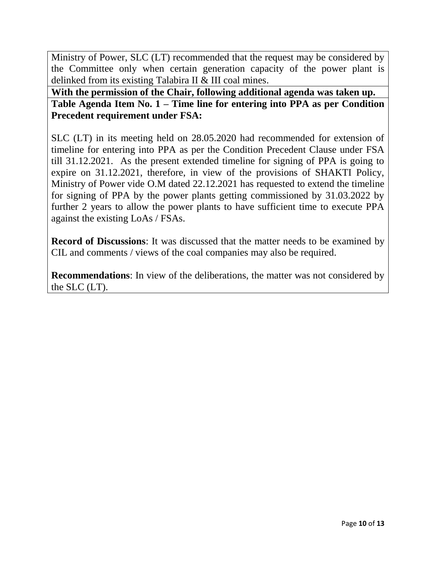Ministry of Power, SLC (LT) recommended that the request may be considered by the Committee only when certain generation capacity of the power plant is delinked from its existing Talabira II & III coal mines.

**With the permission of the Chair, following additional agenda was taken up. Table Agenda Item No. 1 – Time line for entering into PPA as per Condition Precedent requirement under FSA:**

SLC (LT) in its meeting held on 28.05.2020 had recommended for extension of timeline for entering into PPA as per the Condition Precedent Clause under FSA till 31.12.2021. As the present extended timeline for signing of PPA is going to expire on 31.12.2021, therefore, in view of the provisions of SHAKTI Policy, Ministry of Power vide O.M dated 22.12.2021 has requested to extend the timeline for signing of PPA by the power plants getting commissioned by 31.03.2022 by further 2 years to allow the power plants to have sufficient time to execute PPA against the existing LoAs / FSAs.

**Record of Discussions**: It was discussed that the matter needs to be examined by CIL and comments / views of the coal companies may also be required.

**Recommendations**: In view of the deliberations, the matter was not considered by the SLC (LT).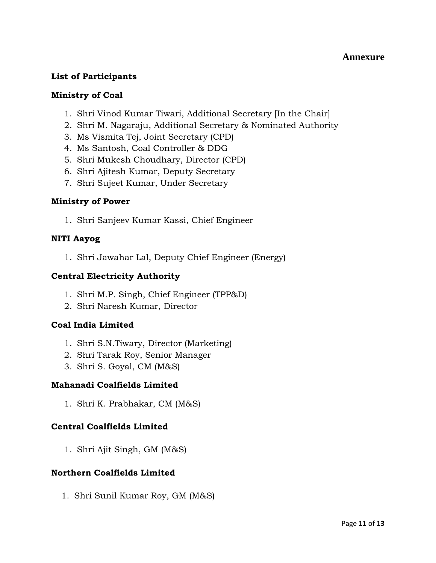# **Annexure**

# **List of Participants**

# **Ministry of Coal**

- 1. Shri Vinod Kumar Tiwari, Additional Secretary [In the Chair]
- 2. Shri M. Nagaraju, Additional Secretary & Nominated Authority
- 3. Ms Vismita Tej, Joint Secretary (CPD)
- 4. Ms Santosh, Coal Controller & DDG
- 5. Shri Mukesh Choudhary, Director (CPD)
- 6. Shri Ajitesh Kumar, Deputy Secretary
- 7. Shri Sujeet Kumar, Under Secretary

# **Ministry of Power**

1. Shri Sanjeev Kumar Kassi, Chief Engineer

# **NITI Aayog**

1. Shri Jawahar Lal, Deputy Chief Engineer (Energy)

# **Central Electricity Authority**

- 1. Shri M.P. Singh, Chief Engineer (TPP&D)
- 2. Shri Naresh Kumar, Director

# **Coal India Limited**

- 1. Shri S.N.Tiwary, Director (Marketing)
- 2. Shri Tarak Roy, Senior Manager
- 3. Shri S. Goyal, CM (M&S)

# **Mahanadi Coalfields Limited**

1. Shri K. Prabhakar, CM (M&S)

# **Central Coalfields Limited**

1. Shri Ajit Singh, GM (M&S)

# **Northern Coalfields Limited**

1. Shri Sunil Kumar Roy, GM (M&S)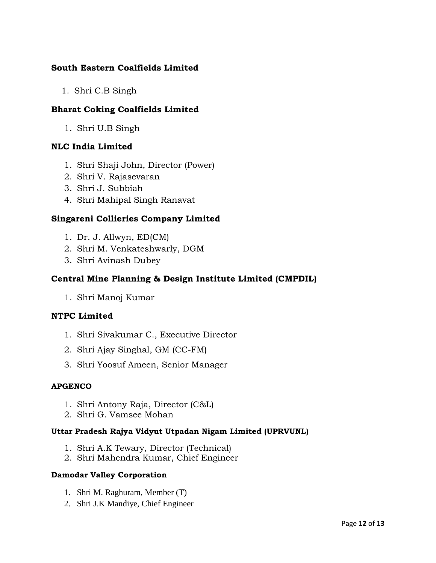# **South Eastern Coalfields Limited**

1. Shri C.B Singh

# **Bharat Coking Coalfields Limited**

1. Shri U.B Singh

# **NLC India Limited**

- 1. Shri Shaji John, Director (Power)
- 2. Shri V. Rajasevaran
- 3. Shri J. Subbiah
- 4. Shri Mahipal Singh Ranavat

# **Singareni Collieries Company Limited**

- 1. Dr. J. Allwyn, ED(CM)
- 2. Shri M. Venkateshwarly, DGM
- 3. Shri Avinash Dubey

# **Central Mine Planning & Design Institute Limited (CMPDIL)**

1. Shri Manoj Kumar

# **NTPC Limited**

- 1. Shri Sivakumar C., Executive Director
- 2. Shri Ajay Singhal, GM (CC-FM)
- 3. Shri Yoosuf Ameen, Senior Manager

#### **APGENCO**

- 1. Shri Antony Raja, Director (C&L)
- 2. Shri G. Vamsee Mohan

#### **Uttar Pradesh Rajya Vidyut Utpadan Nigam Limited (UPRVUNL)**

- 1. Shri A.K Tewary, Director (Technical)
- 2. Shri Mahendra Kumar, Chief Engineer

#### **Damodar Valley Corporation**

- 1. Shri M. Raghuram, Member (T)
- 2. Shri J.K Mandiye, Chief Engineer